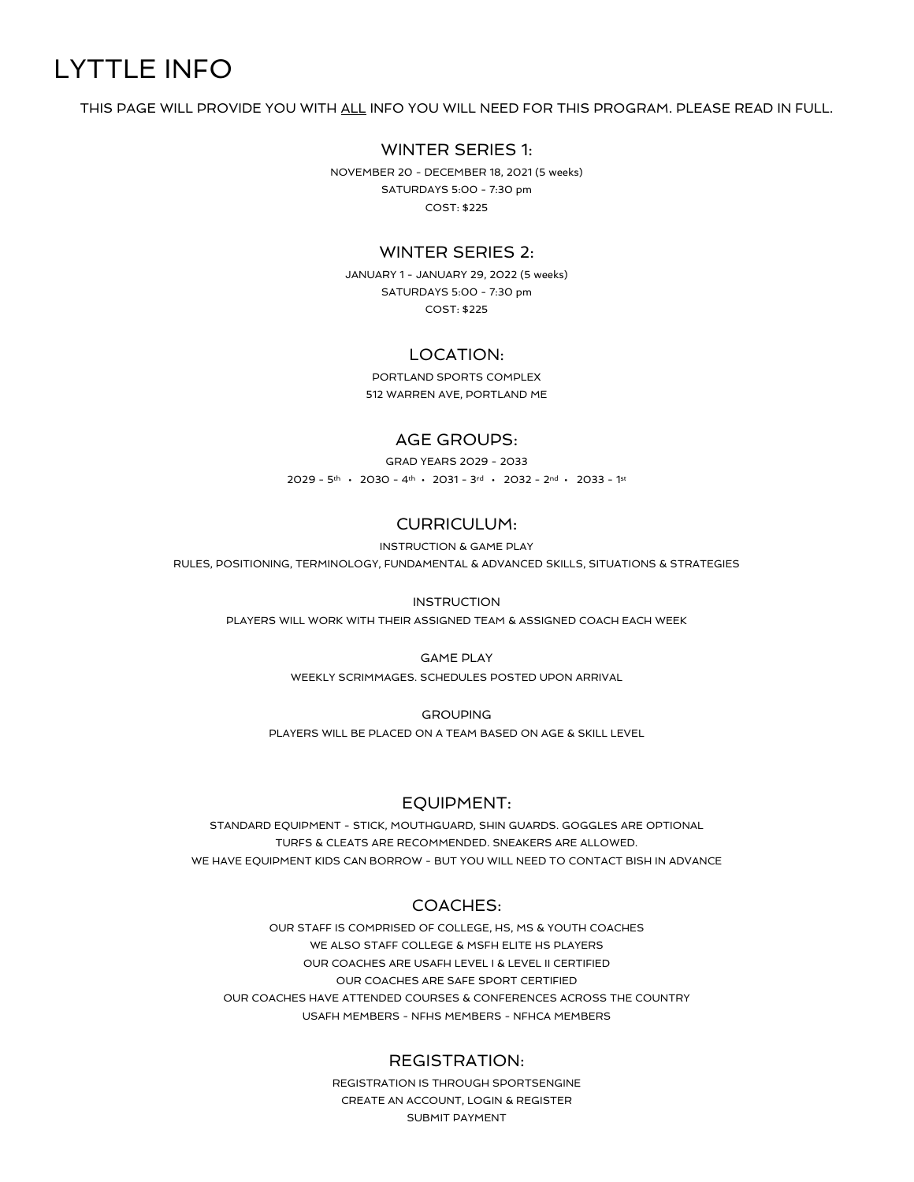# LYTTLE INFO

THIS PAGE WILL PROVIDE YOU WITH ALL INFO YOU WILL NEED FOR THIS PROGRAM. PLEASE READ IN FULL.

#### WINTER SERIES 1:

NOVEMBER 20 - DECEMBER 18, 2021 (5 weeks) SATURDAYS 5:00 - 7:30 pm COST: \$225

### WINTER SERIES 2:

JANUARY 1 - JANUARY 29, 2022 (5 weeks) SATURDAYS 5:00 - 7:30 pm COST: \$225

### LOCATION:

PORTLAND SPORTS COMPLEX 512 WARREN AVE, PORTLAND ME

## AGE GROUPS:

GRAD YEARS 2029 - 2033  $2029 - 5$ th • 2030 - 4th • 2031 - 3rd • 2032 - 2nd • 2033 - 1st

## CURRICULUM:

INSTRUCTION & GAME PLAY

RULES, POSITIONING, TERMINOLOGY, FUNDAMENTAL & ADVANCED SKILLS, SITUATIONS & STRATEGIES

#### INSTRUCTION

PLAYERS WILL WORK WITH THEIR ASSIGNED TEAM & ASSIGNED COACH EACH WEEK

#### GAME PLAY

WEEKLY SCRIMMAGES. SCHEDULES POSTED UPON ARRIVAL

**GROUPING** PLAYERS WILL BE PLACED ON A TEAM BASED ON AGE & SKILL LEVEL

## EQUIPMENT:

STANDARD EQUIPMENT - STICK, MOUTHGUARD, SHIN GUARDS. GOGGLES ARE OPTIONAL TURFS & CLEATS ARE RECOMMENDED. SNEAKERS ARE ALLOWED. WE HAVE EQUIPMENT KIDS CAN BORROW - BUT YOU WILL NEED TO CONTACT BISH IN ADVANCE

## COACHES:

OUR STAFF IS COMPRISED OF COLLEGE, HS, MS & YOUTH COACHES WE ALSO STAFF COLLEGE & MSFH ELITE HS PLAYERS OUR COACHES ARE USAFH LEVEL I & LEVEL II CERTIFIED OUR COACHES ARE SAFE SPORT CERTIFIED OUR COACHES HAVE ATTENDED COURSES & CONFERENCES ACROSS THE COUNTRY USAFH MEMBERS - NFHS MEMBERS - NFHCA MEMBERS

#### REGISTRATION:

REGISTRATION IS THROUGH SPORTSENGINE CREATE AN ACCOUNT, LOGIN & REGISTER SUBMIT PAYMENT